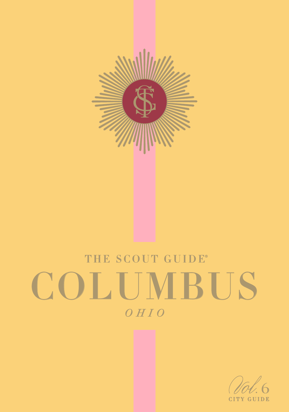

# THE SCOUT GUIDE® COLUMBUS *OHIO*

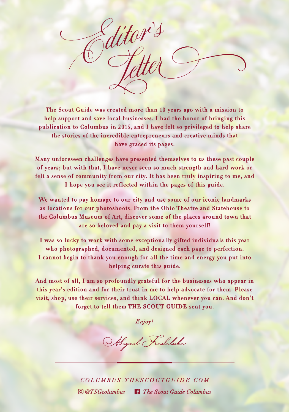ditor's

The Scout Guide was created more than 10 years ago with a mission to help support and save local businesses. I had the honor of bringing this publication to Columbus in 2015, and I have felt so privileged to help share the stories of the incredible entrepreneurs and creative minds that have graced its pages.

Many unforeseen challenges have presented themselves to us these past couple of years; but with that, I have never seen so much strength and hard work or felt a sense of community from our city. It has been truly inspiring to me, and I hope you see it reflected within the pages of this guide.

We wanted to pay homage to our city and use some of our iconic landmarks as locations for our photoshoots. From the Ohio Theatre and Statehouse to the Columbus Museum of Art, discover some of the places around town that are so beloved and pay a visit to them yourself!

I was so lucky to work with some exceptionally gifted individuals this year who photographed, documented, and designed each page to perfection. I cannot begin to thank you enough for all the time and energy you put into helping curate this guide.

And most of all, I am so profoundly grateful for the businesses who appear in this year's edition and for their trust in me to help advocate for them. Please visit, shop, use their services, and think LOCAL whenever you can. And don't forget to tell them THE SCOUT GUIDE sent you.

*Enjoy!*

Abigail Fredelake

*COLUMBUS.THESCOUTGUIDE.COM @TSGcolumbus The Scout Guide Columbus*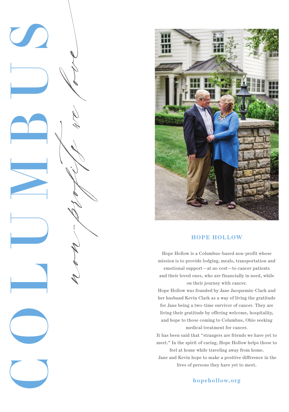



#### **HOPE HOLLOW**

Hope Hollow is a Columbus-based non-profit whose mission is to provide lodging, meals, transportation and emotional support—at no cost—to cancer patients and their loved ones, who are financially in need, while on their journey with cancer.

Hope Hollow was founded by Jane Jacquemin-Clark and her husband Kevin Clark as a way of living the gratitude for Jane being a two-time survivor of cancer. They are living their gratitude by offering welcome, hospitality, and hope to those coming to Columbus, Ohio seeking medical treatment for cancer.

It has been said that "strangers are friends we have yet to meet." In the spirit of caring, Hope Hollow helps those to feel at home while traveling away from home.

 Jane and Kevin hope to make a positive difference in the lives of persons they have yet to meet.

**hopehollow.org**